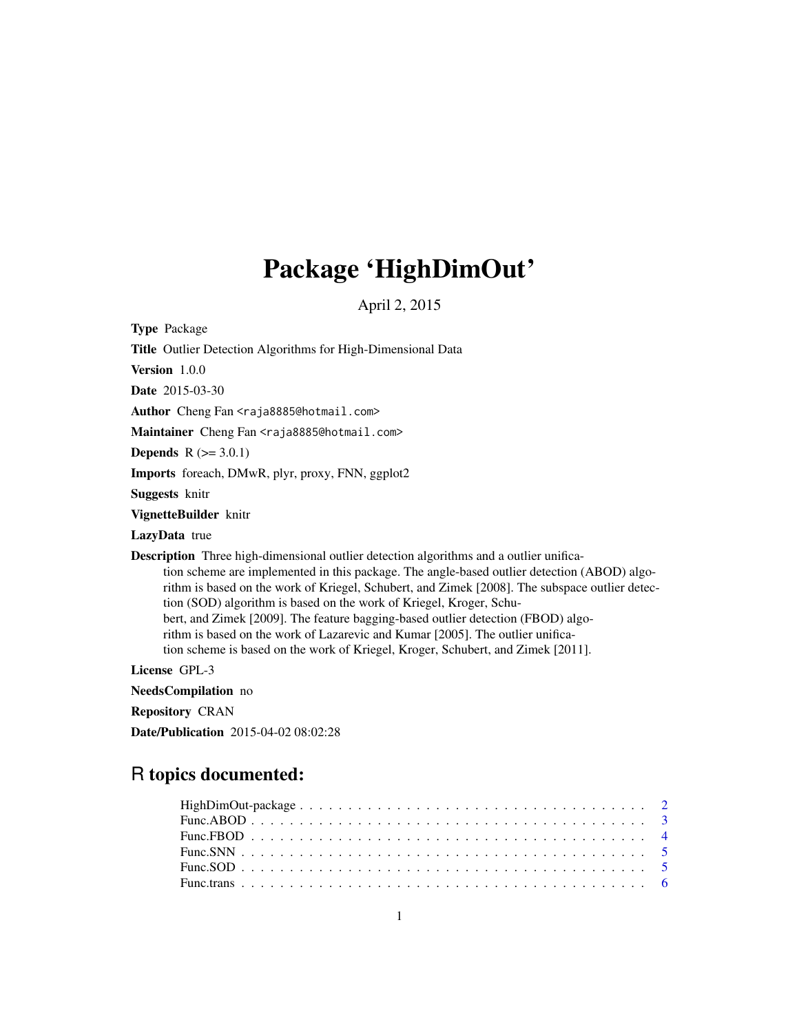# Package 'HighDimOut'

April 2, 2015

Type Package

| Title Outlier Detection Algorithms for High-Dimensional Data                                                                                                                                                                                                                                                                                                                                                                                                                                                                                                                                                                    |
|---------------------------------------------------------------------------------------------------------------------------------------------------------------------------------------------------------------------------------------------------------------------------------------------------------------------------------------------------------------------------------------------------------------------------------------------------------------------------------------------------------------------------------------------------------------------------------------------------------------------------------|
| Version $1.0.0$                                                                                                                                                                                                                                                                                                                                                                                                                                                                                                                                                                                                                 |
| <b>Date</b> 2015-03-30                                                                                                                                                                                                                                                                                                                                                                                                                                                                                                                                                                                                          |
| Author Cheng Fan <raja8885@hotmail.com></raja8885@hotmail.com>                                                                                                                                                                                                                                                                                                                                                                                                                                                                                                                                                                  |
| Maintainer Cheng Fan <raja8885@hotmail.com></raja8885@hotmail.com>                                                                                                                                                                                                                                                                                                                                                                                                                                                                                                                                                              |
| <b>Depends</b> $R (= 3.0.1)$                                                                                                                                                                                                                                                                                                                                                                                                                                                                                                                                                                                                    |
| <b>Imports</b> foreach, DMwR, plyr, proxy, FNN, ggplot2                                                                                                                                                                                                                                                                                                                                                                                                                                                                                                                                                                         |
| <b>Suggests</b> knitr                                                                                                                                                                                                                                                                                                                                                                                                                                                                                                                                                                                                           |
| VignetteBuilder knitr                                                                                                                                                                                                                                                                                                                                                                                                                                                                                                                                                                                                           |
| <b>LazyData</b> true                                                                                                                                                                                                                                                                                                                                                                                                                                                                                                                                                                                                            |
| <b>Description</b> Three high-dimensional outlier detection algorithms and a outlier unifica-<br>tion scheme are implemented in this package. The angle-based outlier detection (ABOD) algo-<br>rithm is based on the work of Kriegel, Schubert, and Zimek [2008]. The subspace outlier detec-<br>tion (SOD) algorithm is based on the work of Kriegel, Kroger, Schu-<br>bert, and Zimek [2009]. The feature bagging-based outlier detection (FBOD) algo-<br>rithm is based on the work of Lazarevic and Kumar [2005]. The outlier unifica-<br>tion scheme is based on the work of Kriegel, Kroger, Schubert, and Zimek [2011]. |
| License GPL-3                                                                                                                                                                                                                                                                                                                                                                                                                                                                                                                                                                                                                   |
| <b>NeedsCompilation</b> no                                                                                                                                                                                                                                                                                                                                                                                                                                                                                                                                                                                                      |
| <b>Repository CRAN</b>                                                                                                                                                                                                                                                                                                                                                                                                                                                                                                                                                                                                          |
| <b>Date/Publication</b> 2015-04-02 08:02:28                                                                                                                                                                                                                                                                                                                                                                                                                                                                                                                                                                                     |
|                                                                                                                                                                                                                                                                                                                                                                                                                                                                                                                                                                                                                                 |

### R topics documented: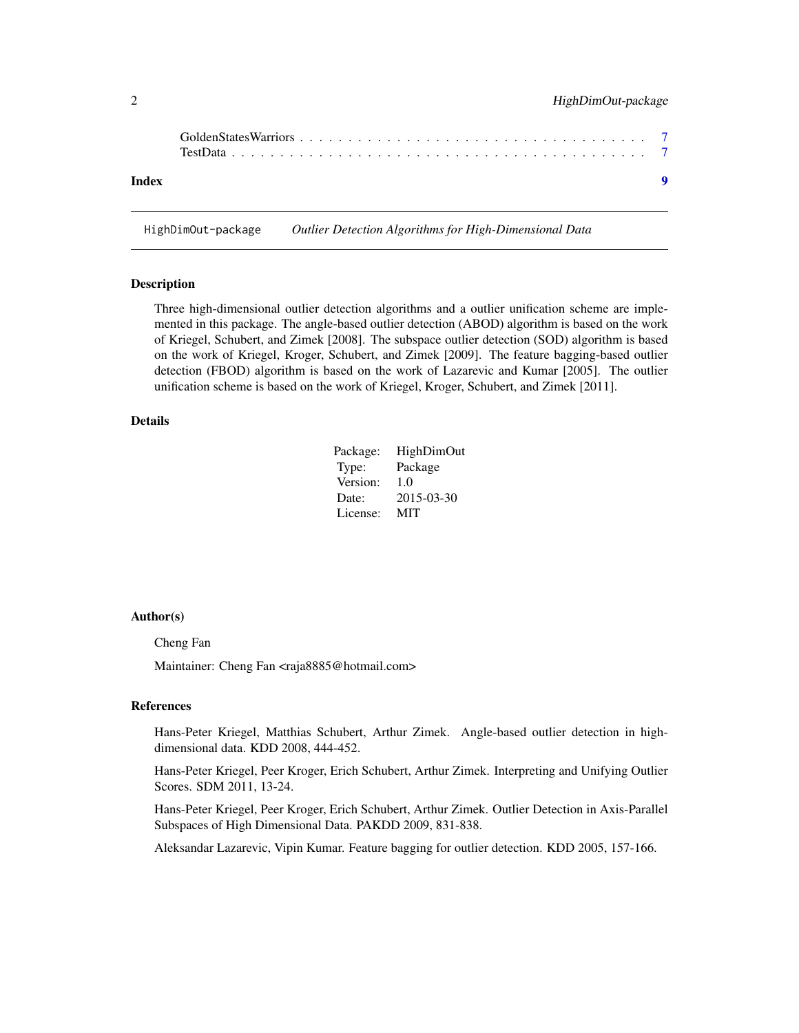<span id="page-1-0"></span>

| Index |  |
|-------|--|

HighDimOut-package *Outlier Detection Algorithms for High-Dimensional Data*

#### Description

Three high-dimensional outlier detection algorithms and a outlier unification scheme are implemented in this package. The angle-based outlier detection (ABOD) algorithm is based on the work of Kriegel, Schubert, and Zimek [2008]. The subspace outlier detection (SOD) algorithm is based on the work of Kriegel, Kroger, Schubert, and Zimek [2009]. The feature bagging-based outlier detection (FBOD) algorithm is based on the work of Lazarevic and Kumar [2005]. The outlier unification scheme is based on the work of Kriegel, Kroger, Schubert, and Zimek [2011].

#### Details

| Package: | <b>HighDimOut</b> |
|----------|-------------------|
| Type:    | Package           |
| Version: | 1.0               |
| Date:    | 2015-03-30        |
| License: | MIT               |

#### Author(s)

Cheng Fan

Maintainer: Cheng Fan <raja8885@hotmail.com>

#### References

Hans-Peter Kriegel, Matthias Schubert, Arthur Zimek. Angle-based outlier detection in highdimensional data. KDD 2008, 444-452.

Hans-Peter Kriegel, Peer Kroger, Erich Schubert, Arthur Zimek. Interpreting and Unifying Outlier Scores. SDM 2011, 13-24.

Hans-Peter Kriegel, Peer Kroger, Erich Schubert, Arthur Zimek. Outlier Detection in Axis-Parallel Subspaces of High Dimensional Data. PAKDD 2009, 831-838.

Aleksandar Lazarevic, Vipin Kumar. Feature bagging for outlier detection. KDD 2005, 157-166.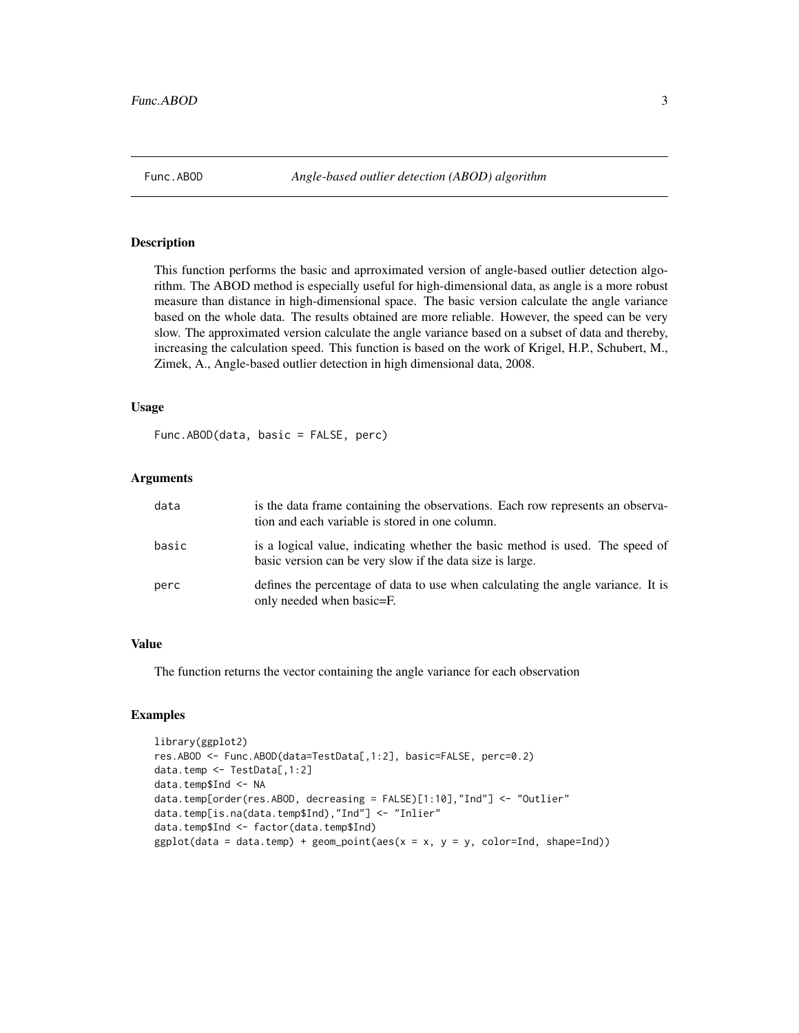<span id="page-2-0"></span>

#### Description

This function performs the basic and aprroximated version of angle-based outlier detection algorithm. The ABOD method is especially useful for high-dimensional data, as angle is a more robust measure than distance in high-dimensional space. The basic version calculate the angle variance based on the whole data. The results obtained are more reliable. However, the speed can be very slow. The approximated version calculate the angle variance based on a subset of data and thereby, increasing the calculation speed. This function is based on the work of Krigel, H.P., Schubert, M., Zimek, A., Angle-based outlier detection in high dimensional data, 2008.

#### Usage

Func.ABOD(data, basic = FALSE, perc)

#### Arguments

| data  | is the data frame containing the observations. Each row represents an observa-<br>tion and each variable is stored in one column.          |
|-------|--------------------------------------------------------------------------------------------------------------------------------------------|
| basic | is a logical value, indicating whether the basic method is used. The speed of<br>basic version can be very slow if the data size is large. |
| perc  | defines the percentage of data to use when calculating the angle variance. It is<br>only needed when basic=F.                              |

#### Value

The function returns the vector containing the angle variance for each observation

#### Examples

```
library(ggplot2)
res.ABOD <- Func.ABOD(data=TestData[,1:2], basic=FALSE, perc=0.2)
data.temp <- TestData[,1:2]
data.temp$Ind <- NA
data.temp[order(res.ABOD, decreasing = FALSE)[1:10],"Ind"] <- "Outlier"
data.temp[is.na(data.temp$Ind),"Ind"] <- "Inlier"
data.temp$Ind <- factor(data.temp$Ind)
ggplot(data = data-temp) + geom\_point(aes(x = x, y = y, color=Ind, shape=Ind))
```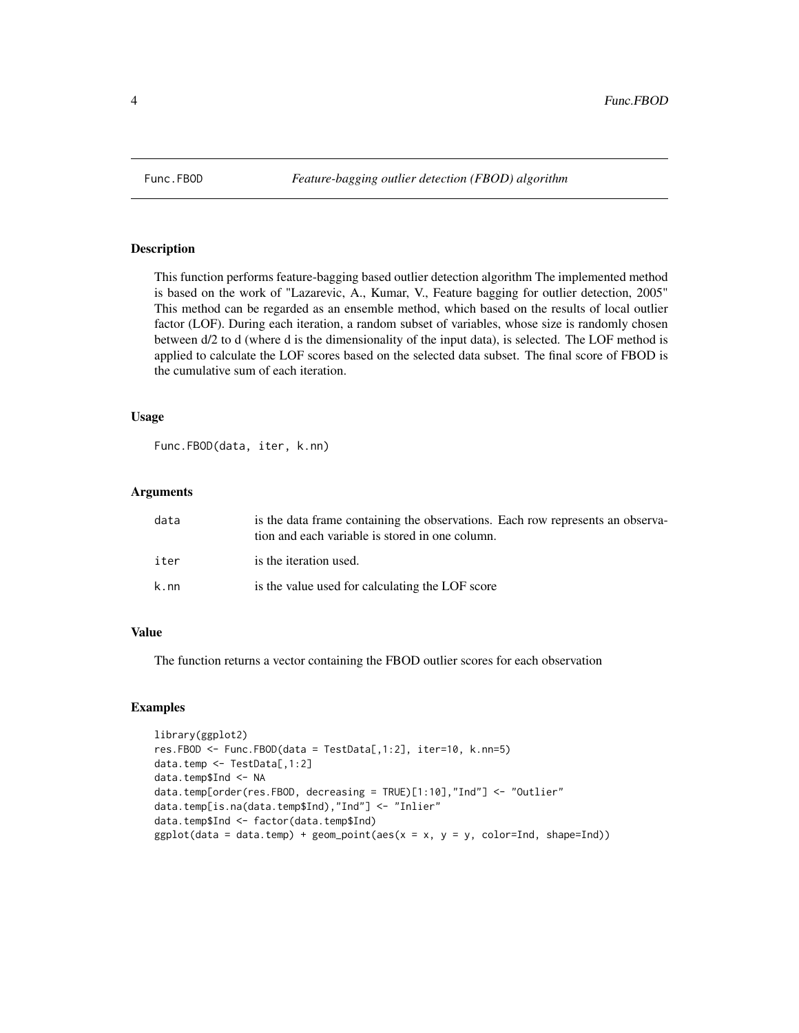<span id="page-3-0"></span>

#### Description

This function performs feature-bagging based outlier detection algorithm The implemented method is based on the work of "Lazarevic, A., Kumar, V., Feature bagging for outlier detection, 2005" This method can be regarded as an ensemble method, which based on the results of local outlier factor (LOF). During each iteration, a random subset of variables, whose size is randomly chosen between d/2 to d (where d is the dimensionality of the input data), is selected. The LOF method is applied to calculate the LOF scores based on the selected data subset. The final score of FBOD is the cumulative sum of each iteration.

#### Usage

Func.FBOD(data, iter, k.nn)

#### Arguments

| data | is the data frame containing the observations. Each row represents an observa-<br>tion and each variable is stored in one column. |
|------|-----------------------------------------------------------------------------------------------------------------------------------|
| iter | is the iteration used.                                                                                                            |
| k.nn | is the value used for calculating the LOF score                                                                                   |

#### Value

The function returns a vector containing the FBOD outlier scores for each observation

#### Examples

```
library(ggplot2)
res.FBOD <- Func.FBOD(data = TestData[,1:2], iter=10, k.nn=5)
data.temp <- TestData[,1:2]
data.temp$Ind <- NA
data.temp[order(res.FBOD, decreasing = TRUE)[1:10],"Ind"] <- "Outlier"
data.temp[is.na(data.temp$Ind),"Ind"] <- "Inlier"
data.temp$Ind <- factor(data.temp$Ind)
ggplot(data = data-temp) + geom\_point(aes(x = x, y = y, color=Ind, shape=Ind))
```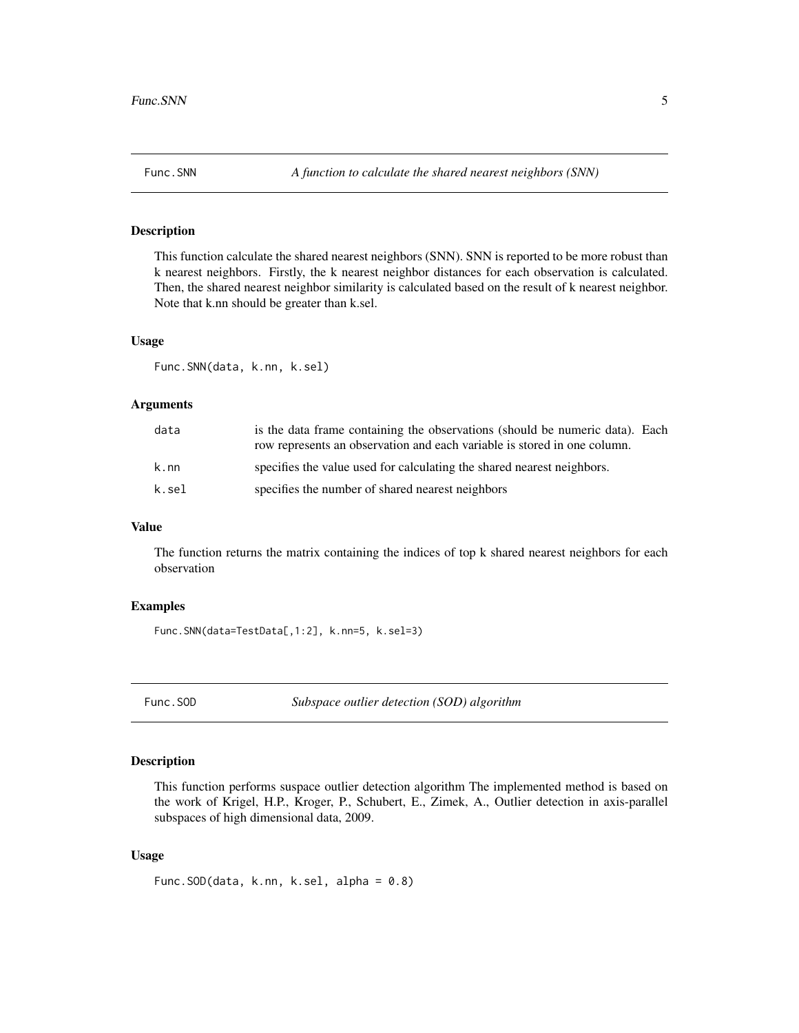<span id="page-4-0"></span>

#### Description

This function calculate the shared nearest neighbors (SNN). SNN is reported to be more robust than k nearest neighbors. Firstly, the k nearest neighbor distances for each observation is calculated. Then, the shared nearest neighbor similarity is calculated based on the result of k nearest neighbor. Note that k.nn should be greater than k.sel.

#### Usage

Func.SNN(data, k.nn, k.sel)

#### Arguments

| data  | is the data frame containing the observations (should be numeric data). Each |
|-------|------------------------------------------------------------------------------|
|       | row represents an observation and each variable is stored in one column.     |
| k.nn  | specifies the value used for calculating the shared nearest neighbors.       |
| k.sel | specifies the number of shared nearest neighbors                             |

#### Value

The function returns the matrix containing the indices of top k shared nearest neighbors for each observation

#### Examples

Func.SNN(data=TestData[,1:2], k.nn=5, k.sel=3)

Func.SOD *Subspace outlier detection (SOD) algorithm*

#### Description

This function performs suspace outlier detection algorithm The implemented method is based on the work of Krigel, H.P., Kroger, P., Schubert, E., Zimek, A., Outlier detection in axis-parallel subspaces of high dimensional data, 2009.

#### Usage

```
Func.SOD(data, k.nn, k.sel, alpha = 0.8)
```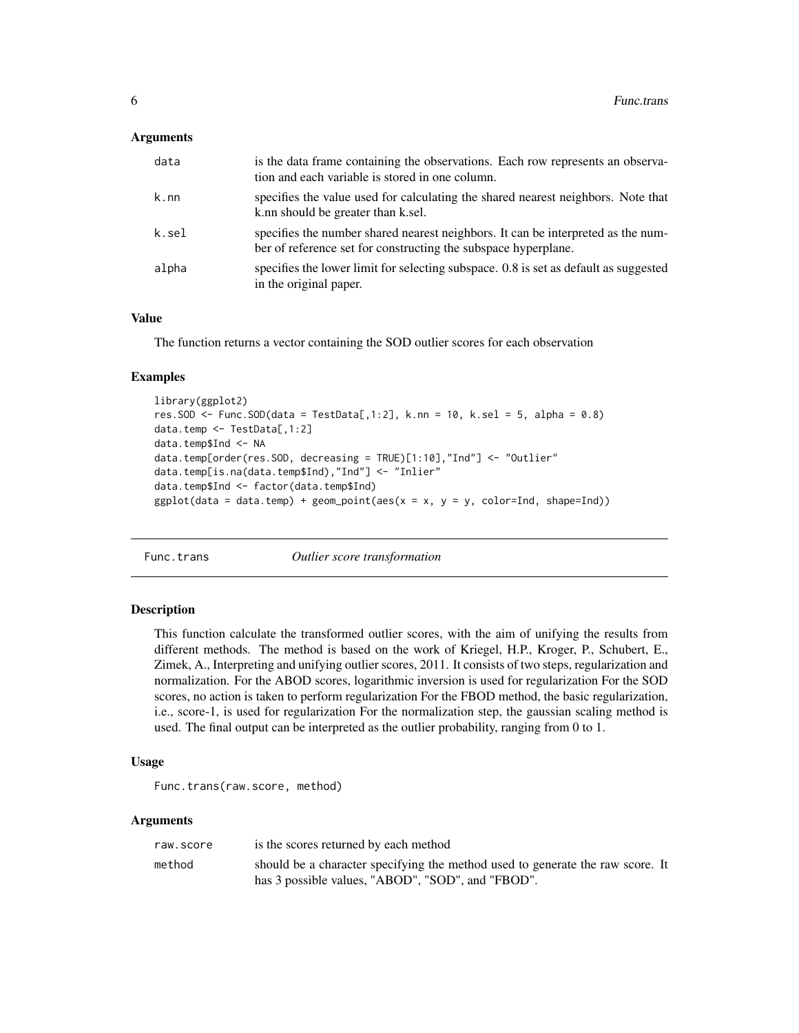#### <span id="page-5-0"></span>**Arguments**

| data  | is the data frame containing the observations. Each row represents an observa-<br>tion and each variable is stored in one column.                  |
|-------|----------------------------------------------------------------------------------------------------------------------------------------------------|
| k.nn  | specifies the value used for calculating the shared nearest neighbors. Note that<br>k.nn should be greater than k.sel.                             |
| k.sel | specifies the number shared nearest neighbors. It can be interpreted as the num-<br>ber of reference set for constructing the subspace hyperplane. |
| alpha | specifies the lower limit for selecting subspace. 0.8 is set as default as suggested<br>in the original paper.                                     |

#### Value

The function returns a vector containing the SOD outlier scores for each observation

#### Examples

```
library(ggplot2)
res. SOD \le Func. SOD(data = TestData[,1:2], k.nn = 10, k.sel = 5, alpha = 0.8)
data.temp <- TestData[,1:2]
data.temp$Ind <- NA
data.temp[order(res.SOD, decreasing = TRUE)[1:10],"Ind"] <- "Outlier"
data.temp[is.na(data.temp$Ind),"Ind"] <- "Inlier"
data.temp$Ind <- factor(data.temp$Ind)
ggplot(data = data.temp) + geom\_point(aes(x = x, y = y, color=Ind, shape=Ind))
```
Func.trans *Outlier score transformation*

#### Description

This function calculate the transformed outlier scores, with the aim of unifying the results from different methods. The method is based on the work of Kriegel, H.P., Kroger, P., Schubert, E., Zimek, A., Interpreting and unifying outlier scores, 2011. It consists of two steps, regularization and normalization. For the ABOD scores, logarithmic inversion is used for regularization For the SOD scores, no action is taken to perform regularization For the FBOD method, the basic regularization, i.e., score-1, is used for regularization For the normalization step, the gaussian scaling method is used. The final output can be interpreted as the outlier probability, ranging from 0 to 1.

#### Usage

```
Func.trans(raw.score, method)
```
#### Arguments

| raw.score | is the scores returned by each method                                          |
|-----------|--------------------------------------------------------------------------------|
| method    | should be a character specifying the method used to generate the raw score. It |
|           | has 3 possible values, "ABOD", "SOD", and "FBOD".                              |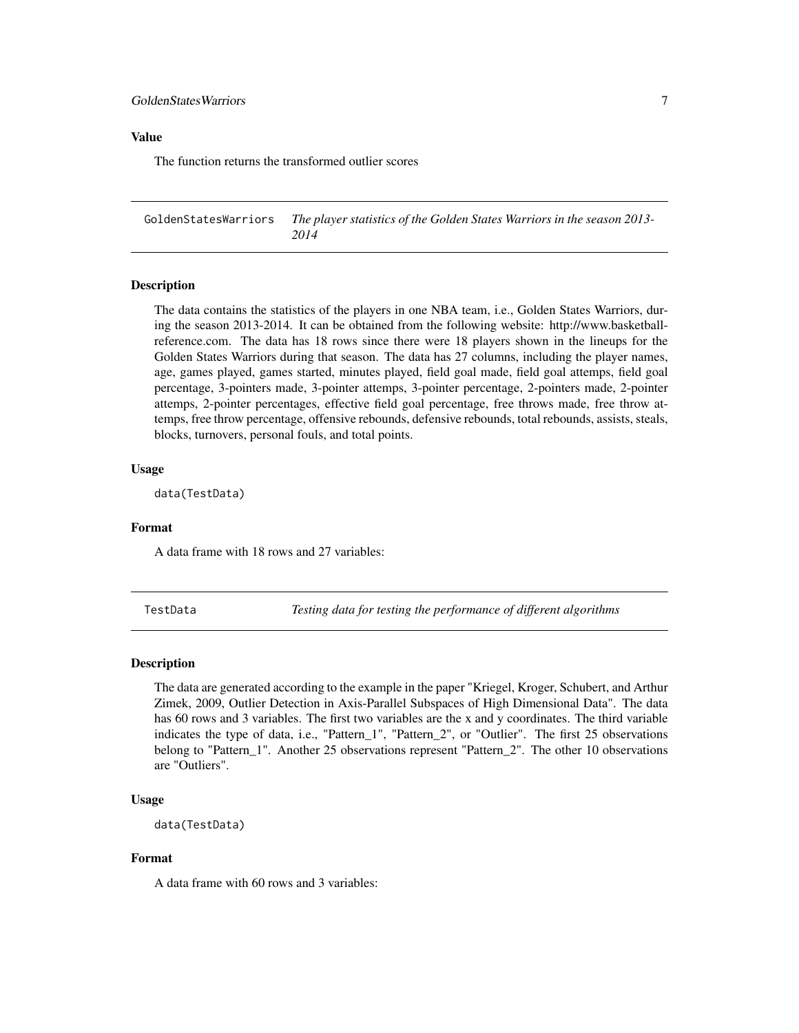#### <span id="page-6-0"></span>Value

The function returns the transformed outlier scores

GoldenStatesWarriors *The player statistics of the Golden States Warriors in the season 2013- 2014*

#### Description

The data contains the statistics of the players in one NBA team, i.e., Golden States Warriors, during the season 2013-2014. It can be obtained from the following website: http://www.basketballreference.com. The data has 18 rows since there were 18 players shown in the lineups for the Golden States Warriors during that season. The data has 27 columns, including the player names, age, games played, games started, minutes played, field goal made, field goal attemps, field goal percentage, 3-pointers made, 3-pointer attemps, 3-pointer percentage, 2-pointers made, 2-pointer attemps, 2-pointer percentages, effective field goal percentage, free throws made, free throw attemps, free throw percentage, offensive rebounds, defensive rebounds, total rebounds, assists, steals, blocks, turnovers, personal fouls, and total points.

#### Usage

data(TestData)

#### Format

A data frame with 18 rows and 27 variables:

TestData *Testing data for testing the performance of different algorithms*

#### Description

The data are generated according to the example in the paper "Kriegel, Kroger, Schubert, and Arthur Zimek, 2009, Outlier Detection in Axis-Parallel Subspaces of High Dimensional Data". The data has 60 rows and 3 variables. The first two variables are the x and y coordinates. The third variable indicates the type of data, i.e., "Pattern\_1", "Pattern\_2", or "Outlier". The first 25 observations belong to "Pattern\_1". Another 25 observations represent "Pattern\_2". The other 10 observations are "Outliers".

#### Usage

```
data(TestData)
```
#### Format

A data frame with 60 rows and 3 variables: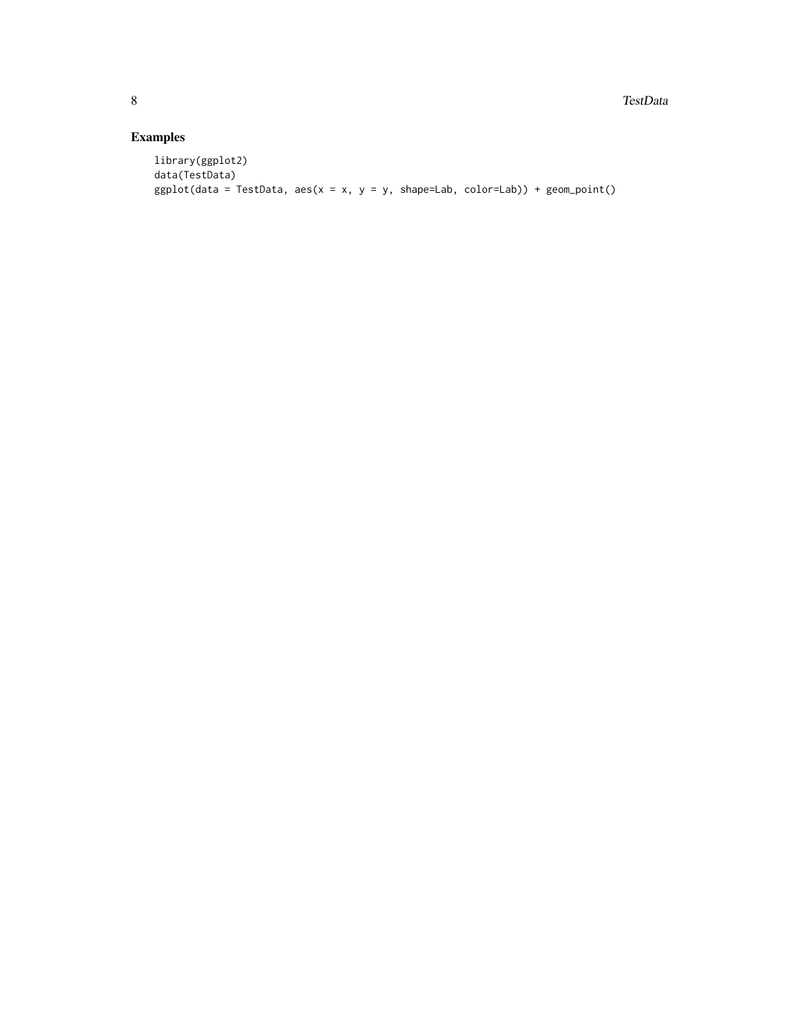### Examples

```
library(ggplot2)
data(TestData)
ggplot(data = TestData, aes(x = x, y = y, shape=Lab, color=Lab)) + geom\_point()
```